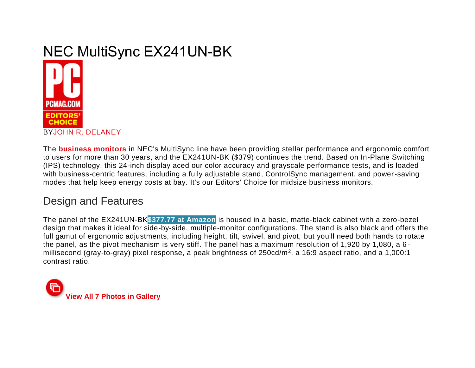#### **NEC MultiSync EX241UN-BK** The 14-most NBF Matridical EN14-FFR-EN to a Vallocational because measure that after your heads IT-friendly furthern ead delivery excellent cater and evidence including any excellent



The **[business monitors](http://www.pcmag.com/article2/0,2817,2460309,00.asp)** in NEC's MultiSync line have been providing stellar performance and ergonomic comfort to users for more than 30 years, and the EX241UN-BK (\$379) continues the trend. Based on In-Plane Switching (IPS) technology, this 24-inch display aced our color accuracy and grayscale performance tests, and is loaded with business-centric features, including a fully adjustable stand, ControlSync management, and power-saving modes that help keep energy costs at bay. It's our Editors' Choice for midsize business monitors.

## Design and Features

The panel of the EX241UN-BK**[\\$377.77 at Amazon](http://www.pcmag.com/review/351024/nec-multisync-ex241un-bk)** is housed in a basic, matte-black cabinet with a zero-bezel design that makes it ideal for side-by-side, multiple-monitor configurations. The stand is also black and offers the full gamut of ergonomic adjustments, including height, tilt, swivel, and pivot, but you'll need both hands to rotate the panel, as the pivot mechanism is very stiff. The panel has a maximum resolution of 1,920 by 1,080, a 6 millisecond (gray-to-gray) pixel response, a peak brightness of 250cd/m<sup>2</sup> , a 16:9 aspect ratio, and a 1,000:1 contrast ratio.

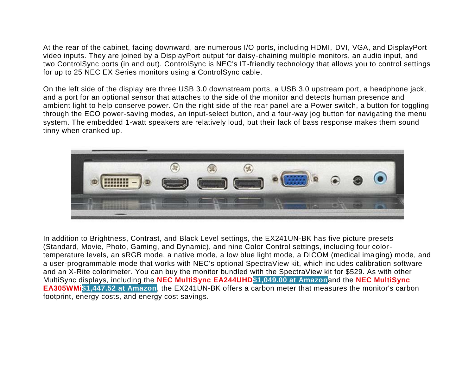At the rear of the cabinet, facing downward, are numerous I/O ports, including HDMI, DVI, VGA, and DisplayPort video inputs. They are joined by a DisplayPort output for daisy-chaining multiple monitors, an audio input, and two ControlSync ports (in and out). ControlSync is NEC's IT-friendly technology that allows you to control settings for up to 25 NEC EX Series monitors using a ControlSync cable.

On the left side of the display are three USB 3.0 downstream ports, a USB 3.0 upstream port, a headphone jack, and a port for an optional sensor that attaches to the side of the monitor and detects human presence and ambient light to help conserve power. On the right side of the rear panel are a Power switch, a button for toggling through the ECO power-saving modes, an input-select button, and a four-way jog button for navigating the menu system. The embedded 1-watt speakers are relatively loud, but their lack of bass response makes them sound tinny when cranked up.



In addition to Brightness, Contrast, and Black Level settings, the EX241UN-BK has five picture presets (Standard, Movie, Photo, Gaming, and Dynamic), and nine Color Control settings, including four colortemperature levels, an sRGB mode, a native mode, a low blue light mode, a DICOM (medical ima ging) mode, and a user-programmable mode that works with NEC's optional SpectraView kit, which includes calibration software and an X-Rite colorimeter. You can buy the monitor bundled with the SpectraView kit for \$529. As with other MultiSync displays, including the **[NEC MultiSync EA244UHD\\$1,049.00 at Amazon](http://www.pcmag.com/article2/0,2817,2463609,00.asp)**and the **[NEC MultiSync](http://www.pcmag.com/review/345351/nec-multisync-ea305wmi)  [EA305WMi](http://www.pcmag.com/review/345351/nec-multisync-ea305wmi)[\\$1,447.52 at Amazon](http://www.pcmag.com/review/351024/nec-multisync-ex241un-bk)**, the EX241UN-BK offers a carbon meter that measures the monitor's carbon footprint, energy costs, and energy cost savings.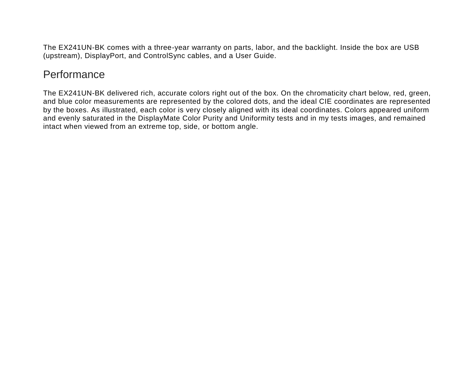The EX241UN-BK comes with a three-year warranty on parts, labor, and the backlight. Inside the box are USB (upstream), DisplayPort, and ControlSync cables, and a User Guide.

### **Performance**

The EX241UN-BK delivered rich, accurate colors right out of the box. On the chromaticity chart below, red, green, and blue color measurements are represented by the colored dots, and the ideal CIE coordinates are represented by the boxes. As illustrated, each color is very closely aligned with its ideal coordinates. Colors appeared uniform and evenly saturated in the DisplayMate Color Purity and Uniformity tests and in my tests images, and remained intact when viewed from an extreme top, side, or bottom angle.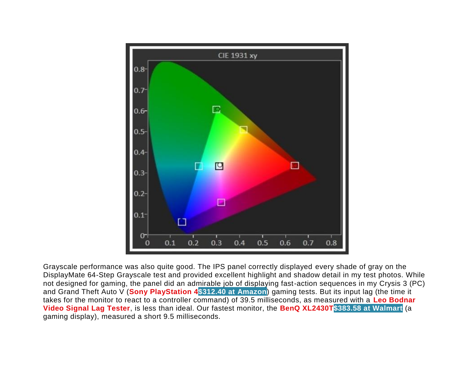

Grayscale performance was also quite good. The IPS panel correctly displayed every shade of gray on the DisplayMate 64-Step Grayscale test and provided excellent highlight and shadow detail in my test photos. While not designed for gaming, the panel did an admirable job of displaying fast-action sequences in my Crysis 3 (PC) and Grand Theft Auto V (**[Sony PlayStation 4\\$312.40 at Amazon](http://www.pcmag.com/article2/0,2817,2420312,00.asp)**) gaming tests. But its input lag (the time it takes for the monitor to react to a controller command) of 39.5 milliseconds, as measured with a **[Leo Bodnar](http://www.pcmag.com/article2/0,2817,2465748,00.asp)  [Video Signal Lag Tester](http://www.pcmag.com/article2/0,2817,2465748,00.asp)**, is less than ideal. Our fastest monitor, the **[BenQ XL2430T\\$383.58 at Walmart](http://www.pcmag.com/article2/0,2817,2477354,00.asp)** (a gaming display), measured a short 9.5 milliseconds.